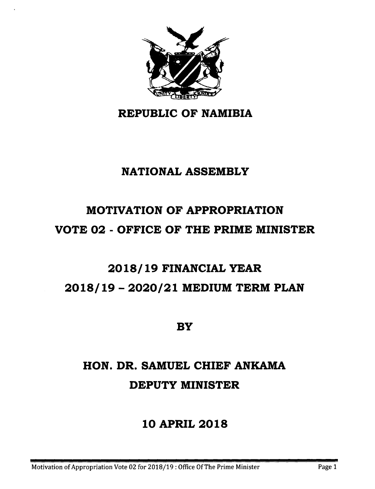

#### **REPUBLIC OF NAMIBIA**

### **NATIONAL ASSEMBLY**

## **MOTIVATION OF APPROPRIATION VOTE 02 - OFFICE OF THE PRIME MINISTER**

## **2018/19 FINANCIAL YEAR 2018/19 - 2020/21 MEDIUM TERM PLAN**

**BY**

## **HON. DR. SAMUEL CHIEF ANKAMA DEPUTY MINISTER**

### **10 APRIL 2018**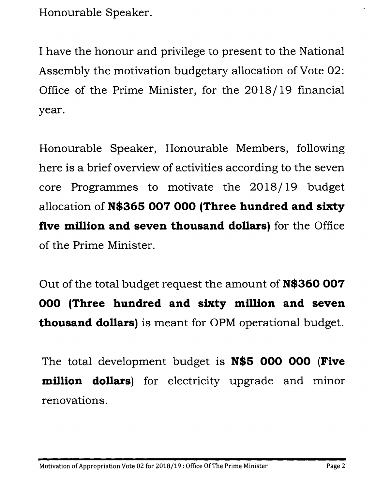Honourable Speaker.

I have the honour and privilege to present to the National Assembly the motivation budgetary allocation of Vote 02: Office of the Prime Minister, for the 2018/ 19 financial year.

Honourable Speaker, Honourable Members, following here is a brief overview of activities according to the seven core Programmes to motivate the 2018/19 budget allocation of **N\$365 007 000 (Three hundred and sixty five million and seven thousand dollars)** for the Office of the Prime Minister.

Out of the total budget request the amount of **N\$360 007 000 (Three hundred and sixty million and seven thousand dollars)** is meant for OPM operational budget.

The total development budget is **N\$5 000 000 (Five million dollars)** for electricity upgrade and minor renovations.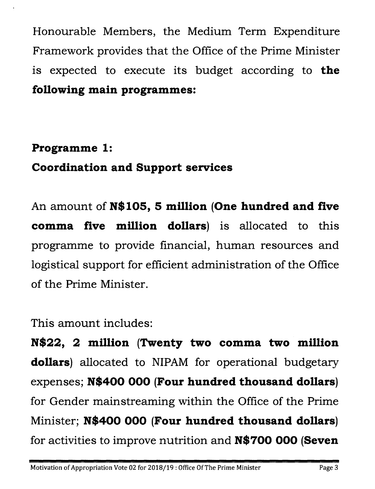Honourable Members, the Medium Term Expenditure Framework provides that the Office of the Prime Minister is expected to execute its budget according to **the following main programmes:**

### **Programme 1:**

### **Coordination and Support services**

An amount of **N\$105, 5 million (One hundred and five comma five million dollars)** is allocated to this programme to provide financial, human resources and logistical support for efficient administration of the Office of the Prime Minister.

This amount includes:

**N\$22, 2 million (Twenty two comma two million dollars)** allocated to NIPAM for operational budgetary expenses; **N\$400 000 (Four hundred thousand dollars)** for Gender mainstreaming within the Office of the Prime Minister; **N\$400 000 (Four hundred thousand dollars)** for activities to improve nutrition and **N\$700 000 (Seven**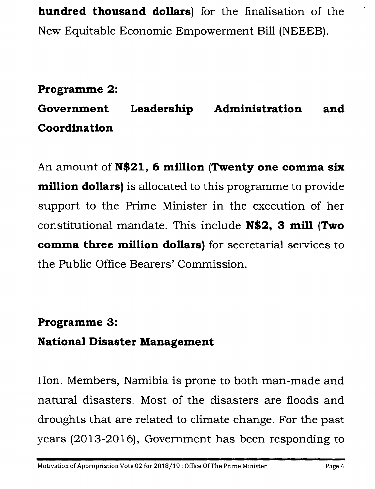**hundred thousand dollars)** for the finalisation of the New Equitable Economic Empowerment Bill (NEEEB).

#### **Programme 2:** Government **Coordination Administration and**

An amount of **N\$21, 6 million (Twenty one comma six million dollars)** is allocated to this programme to provide support to the Prime Minister in the execution of her constitutional mandate. This include **N\$2, 3 mill (Two comma three million dollars)** for secretarial services to the Public Office Bearers' Commission.

### **Programme 3:**

### **National Disaster Management**

Hon. Members, Namibia is prone to both man-made and natural disasters. Most of the disasters are floods and droughts that are related to climate change. For the past years (2013-2016), Government has been responding to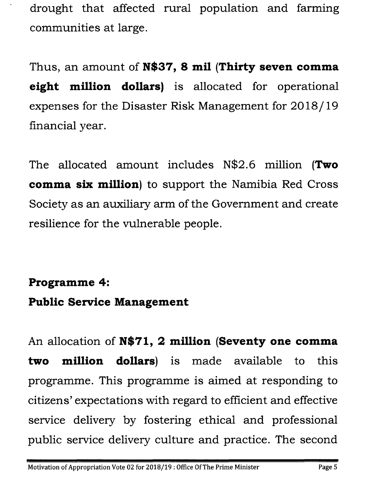drought that affected rural population and farming communities at large.

Thus, an amount of **N\$37, 8 mil (Thirty seven comma eight million dollars)** is allocated for operational expenses for the Disaster Risk Management for 2018/19 financial year.

The allocated amount includes N\$2.6 million **(Two comma six million)** to support the Namibia Red Cross Society as an auxiliary arm of the Government and create resilience for the vulnerable people.

#### **Programme 4:**

#### **Public Service Management**

An allocation of **N\$71, 2 million (Seventy one comma two million dollars)** is made available to this programme. This programme is aimed at responding to citizens' expectations with regard to efficient and effective service delivery by fostering ethical and professional public service delivery culture and practice. The second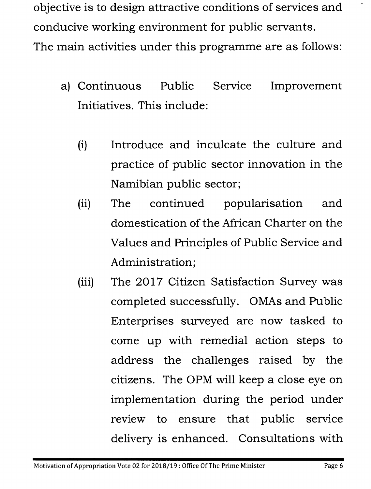objective is to design attractive conditions of services and conducive working environment for public servants. The main activities under this programme are as follows:

- a) Continuous Public Service Initiatives. This include: Improvement
	- (i) Introduce and inculcate the culture and practice of public sector innovation in the Namibian public sector;
	- (ii) The continued popularisation and domestication of the African Charter on the Values and Principles of Public Service and Administration;
	- (iii) The 2017 Citizen Satisfaction Survey was completed successfully. OMAs and Public Enterprises surveyed are now tasked to come up with remedial action steps to address the challenges raised by the citizens. The OPM will keep a close eye on implementation during the period under review to ensure that public service delivery is enhanced. Consultations with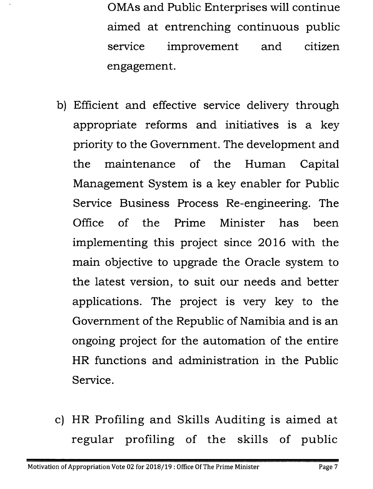OMAs and Public Enterprises will continue aimed at entrenching continuous public service improvement and citizen engagement.

- b) Efficient and effective service delivery through appropriate reforms and initiatives is a key priority to the Government. The development and the maintenance of the Human Capital Management System is a key enabler for Public Service Business Process Re-engineering. The Office of the Prime Minister has been implementing this project since 2016 with the main objective to upgrade the Oracle system to the latest version, to suit our needs and better applications. The project is very key to the Government of the Republic of Namibia and is an ongoing project for the automation of the entire HR functions and administration in the Public Service.
- c) HR Profiling and Skills Auditing is aimed at regular profiling of the skills of public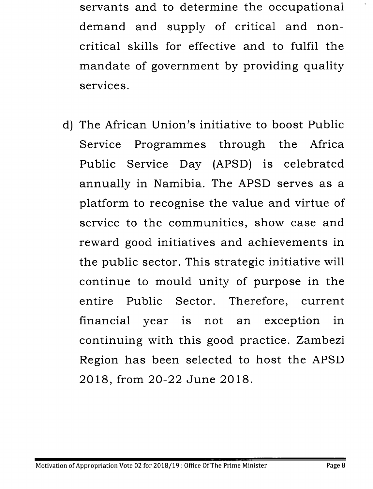- servants and to determine the occupational demand and supply of critical and noncritical skills for effective and to fulfil the mandate of government by providing quality . services.
- d) The African Union's initiative to boost Public Service Programmes through the Africa Public Service Day (APSD) is celebrated annually in Namibia. The APSD serves as a platform to recognise the value and virtue of service to the communities, show case and reward good initiatives and achievements in the public sector. This strategic initiative will continue to mould unity of purpose in the entire Public Sector. Therefore, current financial year is not an exception in continuing with this good practice. Zambezi Region has been selected to host the APSD 2018, from 20-22 June 2018.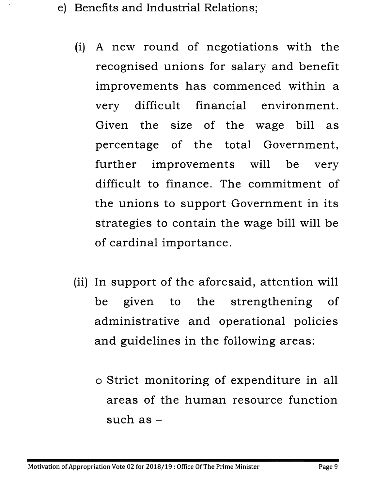- e) Benefits and Industrial Relations;
	- (i) A new round of negotiations with the recognised unions for salary and benefit improvements has commenced within a very difficult financial environment. Given the size of the wage bill as percentage of the total Government, further improvements will be very difficult to finance. The commitment of the unions to support Government in its strategies to contain the wage bill will be of cardinal importance.
	- (ii) In support of the aforesaid, attention will be given to the strengthening of administrative and operational policies and guidelines in the following areas:
		- o Strict monitoring of expenditure in all areas of the human resource function such as-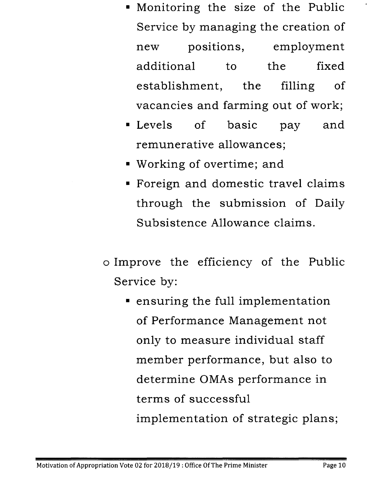- Monitoring the size of the Public Service by managing the creation of new positions, employment additional to the fixed establishment, the filling of vacancies and farming out of work;
- Levels of basic pay and remunerative allowances;
- Working of overtime; and
- Foreign and domestic travel claims through the submission of Daily Subsistence Allowance claims.
- o Improve the efficiency of the Public Service by:
	- ensuring the full implementation of Performance Management not only to measure individual staff member performance, but also to determine OMAs performance in terms of successful implementation of strategic plans;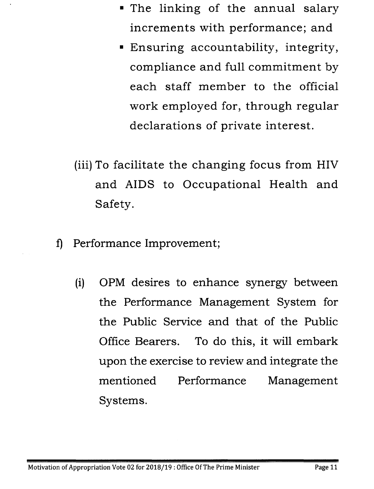- The linking of the annual salary increments with performance; and
- Ensuring accountability, integrity, compliance and full commitment by each staff member to the official work employed for, through regular declarations of private interest.
- (iii)To facilitate the changing focus from HIV and AIDS to Occupational Health and Safety.
- f) Performance Improvement;
	- (i) OPM desires to enhance synergy between the Performance Management System for the Public Service and that of the Public Office Bearers. To do this, it will embark upon the exercise to review and integrate the mentioned Performance Management Systems.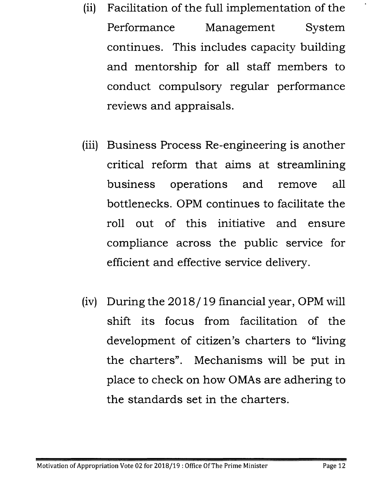- (ii) Facilitation of the full implementation of the Performance Management System continues. This includes capacity building and mentorship for all staff members to conduct compulsory regular performance reviews and appraisals.
- (iii) Business Process Re-engineering is another critical reform that aims at streamlining business operations and remove all bottlenecks. OPM continues to facilitate the roll out of this initiative and ensure compliance across the public service for efficient and effective service delivery.
- (iv) During the 2018/19 financial year, OPM will shift its focus from facilitation of the development of citizen's charters to "living the charters". Mechanisms will be put in place to check on how OMAs are adhering to the standards set in the charters.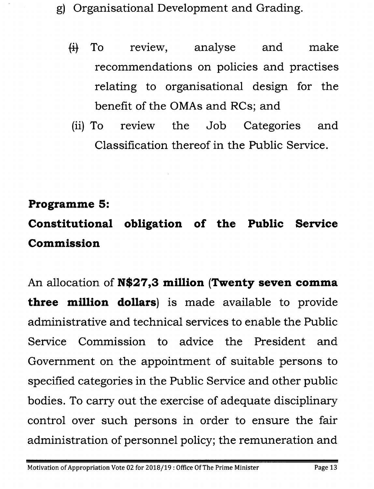- g) Organisational Development and Grading.
	- {it To review, analyse and make recommendations on policies and practises relating to organisational design for the benefit of the OMAs and RCs; and
	- (ii) To review the Job Categories and Classification thereof in the Public Service.

### **Programme 5:**

# **Constitutional obligation of the Public Service Commission**

An allocation of **N\$27,3 million (Twenty seven comma three million dollars)** is made available to provide administrative and technical services to enable the Public Service Commission to advice the President and Government on the appointment of suitable persons to specified categories in the Public Service and other public bodies. To carry out the exercise of adequate disciplinary control over such persons in order to ensure the fair administration of personnel policy; the remuneration and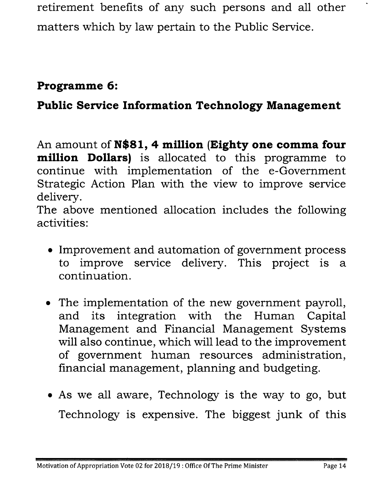retirement benefits of any such persons and all other matters which by law pertain to the Public Service.

#### **Programme 6:**

## **Public Service Information Technology Management**

An amount of **N\$81, 4 million (Eighty one comma four million Dollars)** is allocated to this programme to continue with implementation of the e-Government Strategic Action Plan with the view to improve service delivery.

The above mentioned allocation includes the following activities:

- Improvement and automation of government process to improve service delivery. This project is a continuation .
- The implementation of the new government payroll, and its integration with the Human Capital Management and Financial Management Systems will also continue, which will lead to the improvement of government human resources administration, financial management, planning and budgeting.
- As we all aware, Technology is the way to go, but Technology is expensive. The biggest junk of this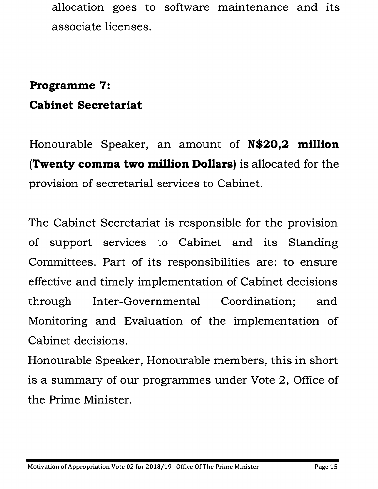allocation goes to software maintenance and its associate licenses.

## **Programme 7: Cabinet Secretariat**

Honourable Speaker, an amount of **N\$20,2 million (Twenty comma two million Dollars)** is allocated for the provision of secretarial services to Cabinet.

The Cabinet Secretariat is responsible for the provision of support services to Cabinet and its Standing Committees. Part of its responsibilities are: to ensure effective and timely implementation of Cabinet decisions through Inter-Governmental Coordination; and Monitoring and Evaluation of the implementation of Cabinet decisions.

Honourable Speaker, Honourable members, this in short is a summary of our programmes under Vote 2, Office of the Prime Minister.